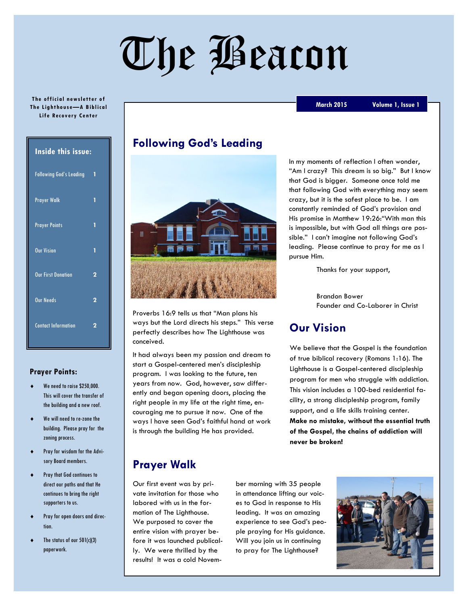# The Beacon

#### **The official newsletter of The L ight hou se—A B ibl ic al Life Recovery Center**

| <b>Inside this issue:</b>      |   |
|--------------------------------|---|
| <b>Following God's Leading</b> | 1 |
| <b>Prayer Walk</b>             | 1 |
| <b>Prayer Points</b>           | 1 |
| <b>Our Vision</b>              | 1 |
| <b>Our First Donation</b>      | 2 |
| <b>Our Needs</b>               | 2 |
| <b>Contact Information</b>     | 2 |

#### **Prayer Points:**

- We need to raise \$250,000. This will cover the transfer of the building and a new roof.
- We will need to re-zone the building. Please pray for the zoning process.
- Pray for wisdom for the Advisory Board members.
- Pray that God continues to direct our paths and that He continues to bring the right supporters to us.
- Pray for open doors and direction.
- The status of our 501(c)(3) paperwork.

## **Following God's Leading**



Proverbs 16:9 tells us that "Man plans his ways but the Lord directs his steps." This verse perfectly describes how The Lighthouse was conceived.

It had always been my passion and dream to start a Gospel-centered men's discipleship program. I was looking to the future, ten years from now. God, however, saw differently and began opening doors, placing the right people in my life at the right time, encouraging me to pursue it now. One of the ways I have seen God's faithful hand at work is through the building He has provided.

**March 2015 Volume , Issue** 

In my moments of reflection I often wonder, "Am I crazy? This dream is so big." But I know that God is bigger. Someone once told me that following God with everything may seem crazy, but it is the safest place to be. I am constantly reminded of God's provision and His promise in Matthew 19:26:"With man this is impossible, but with God all things are possible." I can't imagine not following God's leading. Please continue to pray for me as I pursue Him.

Thanks for your support,

Brandon Bower Founder and Co-Laborer in Christ

# **Our Vision**

We believe that the Gospel is the foundation of true biblical recovery (Romans 1:16). The Lighthouse is a Gospel-centered discipleship program for men who struggle with addiction. This vision includes a 100-bed residential facility, a strong discipleship program, family support, and a life skills training center. **Make no mistake, without the essential truth of the Gospel, the chains of addiction will never be broken!**

# **Prayer Walk**

Our first event was by private invitation for those who labored with us in the formation of The Lighthouse. We purposed to cover the entire vision with prayer before it was launched publically. We were thrilled by the results! It was a cold November morning with 35 people in attendance lifting our voices to God in response to His leading. It was an amazing experience to see God's people praying for His guidance. Will you join us in continuing to pray for The Lighthouse?